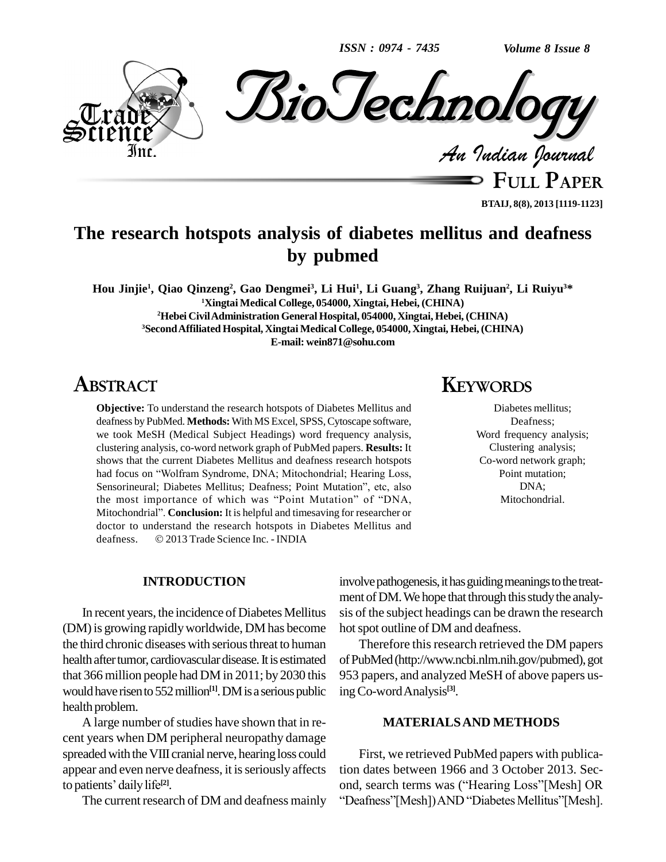*ISSN : 0974 - 7435*



**BTAIJ, 8(8), 2013 [1119-1123]**

# **The research hotspots analysis of diabetes mellitus and deafness by pubmed**

Hou Jinjie<sup>1</sup>, Qiao Qinzeng<sup>2</sup>, Gao Dengmei<sup>3</sup>, Li Hui<sup>1</sup>, Li Guang<sup>3</sup>, Zhang Ruijuan<sup>2</sup>, Li Ruiyu<sup>3\*</sup> **<sup>1</sup>Xingtai Medical College, 054000, Xingtai, Hebei, (CHINA) <sup>2</sup>Hebei CivilAdministrationGeneral Hospital, 054000, Xingtai, Hebei, (CHINA) <sup>3</sup>SecondAffiliated Hospital, Xingtai Medical College, 054000, Xingtai, Hebei, (CHINA) E-mail: [wein871@sohu.com](mailto:wein871@sohu.com)**

## **ABSTRACT**

**Objective:** To understand the research hotspots of Diabetes Mellitus and deafness by PubMed. **Methods:** With MS Excel, SPSS,Cytoscape software, we took MeSH (Medical Subject Headings) word frequency analysis, clustering analysis, co-word network graph of PubMed papers. **Results:** It shows that the current Diabetes Mellitus and deafness research hotspots clustering analysis, co-word network graph of PubMed papers. Results: It shows that the current Diabetes Mellitus and deafness research hotspots had focus on "Wolfram Syndrome, DNA; Mitochondrial; Hearing Loss, shows that the current Diabetes Mellitus and deafness research hotspots<br>had focus on "Wolfram Syndrome, DNA; Mitochondrial; Hearing Loss,<br>Sensorineural; Diabetes Mellitus; Deafness; Point Mutation", etc, also had focus on "Wolfram Syndrome, DNA; Mitochondrial; Hearing Loss, Sensorineural; Diabetes Mellitus; Deafness; Point Mutation", etc, also<br>the most importance of which was "Point Mutation" of "DNA, Sensorineural; Diabetes Mellitus; Deafness; Point Mutation", etc, also<br>the most importance of which was "Point Mutation" of "DNA,<br>Mitochondrial". **Conclusion:** It is helpful and timesaving for researcher or doctor to understand the research hotspots in Diabetes Mellitus and Mitochondrial". **Conclusion:** It is helpful and timesaving for redoctor to understand the research hotspots in Diabetes M<br>deafness. © 2013 Trade Science Inc. - INDIA

### **KEYWORDS**

Diabetes mellitus; Deafness; Word frequency analysis; Clustering analysis; Co-word network graph; Point mutation; DNA; Mitochondrial.

#### **INTRODUCTION**

In recent years, the incidence of Diabetes Mellitus (DM) is growing rapidly worldwide, DM has become the third chronic diseases with serious threat to human health after tumor, cardiovascular disease. It is estimated that 366 million people had DM in 2011; by 2030 this would have risen to 552 million<sup>[1]</sup>. DM is a serious public ing Co health problem.

A large number of studies have shown that in recent years when DM peripheral neuropathy damage spreaded with the VIII cranial nerve, hearing loss could<br>appear and even nerve deafness, it is seriously affects tion da<br>to patients' daily life<sup>[2]</sup>. ond, se appear and even nerve deafness, it is seriously affects to patients' daily life<sup>[2]</sup>.

involve pathogenesis, it has guiding meanings to the treatment of DM. We hope that through this study the analysis of the subject headings can be drawn the research hot spot outline of DM and deafness.

Therefore this research retrieved the DM papers ofPubMed(http://www.ncbi.nlm.nih.gov/pubmed),got 953 papers, and analyzed MeSH of above papers usingCo-wordAnalysis **[3]**.

#### **MATERIALSAND METHODS**

The current research of DM and deafness mainly "Deafness"[Mesh]) AND "Diabetes Mellitus"[Mesh]. First, we retrieved PubMed papers with publication dates between 1966 and 3 October 2013. Second, search terms was ("Hearing Loss"[Mesh] OR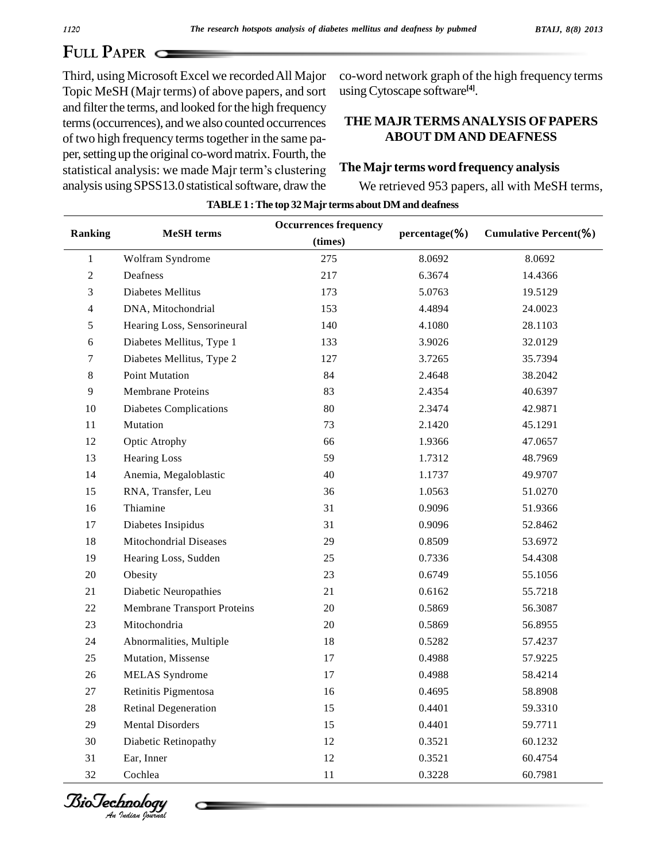# **FULL PAPER**

Third, using Microsoft Excel we recordedAll Major Topic MeSH (Majr terms) of above papers, and sort and filter the terms, and looked for the high frequency terms(occurrences), andwe also counted occurrences of two high frequency termstogether in the same pa per, setting up the original co-word matrix. Fourth, the of two high frequency terms together in the same paper, setting up the original co-word matrix. Fourth, the statistical analysis: we made Majr term's clustering The M analysis using SPSS13.0 statistical software, draw the

co-word network graph of the high frequency terms usingCytoscape software **[4]**.

### **THE MAJR TERMSANALYSIS OFPAPERS ABOUT DM AND DEAFNESS**

#### **The Majr terms word frequency analysis**

We retrieved 953 papers, all with MeSH terms,

| Ranking        | <b>MeSH</b> terms                  | <b>Occurrences frequency</b> |               | Cumulative Percent(%) |
|----------------|------------------------------------|------------------------------|---------------|-----------------------|
|                |                                    | (times)                      | percentage(%) |                       |
| $\mathbf{1}$   | Wolfram Syndrome                   | 275                          | 8.0692        | 8.0692                |
| $\overline{c}$ | Deafness                           | 217                          | 6.3674        | 14.4366               |
| 3              | Diabetes Mellitus                  | 173                          | 5.0763        | 19.5129               |
| 4              | DNA, Mitochondrial                 | 153                          | 4.4894        | 24.0023               |
| 5              | Hearing Loss, Sensorineural        | 140                          | 4.1080        | 28.1103               |
| 6              | Diabetes Mellitus, Type 1          | 133                          | 3.9026        | 32.0129               |
| 7              | Diabetes Mellitus, Type 2          | 127                          | 3.7265        | 35.7394               |
| 8              | <b>Point Mutation</b>              | 84                           | 2.4648        | 38.2042               |
| 9              | Membrane Proteins                  | 83                           | 2.4354        | 40.6397               |
| 10             | <b>Diabetes Complications</b>      | $80\,$                       | 2.3474        | 42.9871               |
| 11             | Mutation                           | 73                           | 2.1420        | 45.1291               |
| 12             | Optic Atrophy                      | 66                           | 1.9366        | 47.0657               |
| 13             | <b>Hearing Loss</b>                | 59                           | 1.7312        | 48.7969               |
| 14             | Anemia, Megaloblastic              | 40                           | 1.1737        | 49.9707               |
| 15             | RNA, Transfer, Leu                 | 36                           | 1.0563        | 51.0270               |
| 16             | Thiamine                           | 31                           | 0.9096        | 51.9366               |
| 17             | Diabetes Insipidus                 | 31                           | 0.9096        | 52.8462               |
| 18             | Mitochondrial Diseases             | 29                           | 0.8509        | 53.6972               |
| 19             | Hearing Loss, Sudden               | 25                           | 0.7336        | 54.4308               |
| $20\,$         | Obesity                            | 23                           | 0.6749        | 55.1056               |
| 21             | Diabetic Neuropathies              | 21                           | 0.6162        | 55.7218               |
| 22             | <b>Membrane Transport Proteins</b> | 20                           | 0.5869        | 56.3087               |
| 23             | Mitochondria                       | 20                           | 0.5869        | 56.8955               |
| 24             | Abnormalities, Multiple            | 18                           | 0.5282        | 57.4237               |
| 25             | Mutation, Missense                 | 17                           | 0.4988        | 57.9225               |
| 26             | <b>MELAS</b> Syndrome              | 17                           | 0.4988        | 58.4214               |
| $27\,$         | Retinitis Pigmentosa               | 16                           | 0.4695        | 58.8908               |
| $28\,$         | Retinal Degeneration               | 15                           | 0.4401        | 59.3310               |
| 29             | <b>Mental Disorders</b>            | 15                           | 0.4401        | 59.7711               |
| 30             | Diabetic Retinopathy               | 12                           | 0.3521        | 60.1232               |
| 31             | Ear, Inner                         | 12                           | 0.3521        | 60.4754               |
| 32             | Cochlea                            | 11                           | 0.3228        | 60.7981               |

**TABLE1 :The top 32Majr terms about DM and deafness**

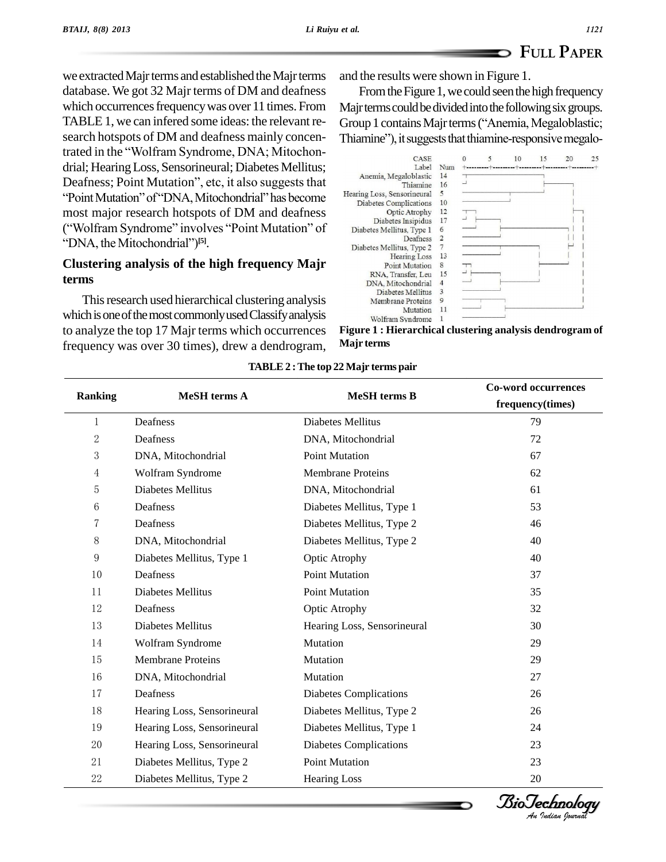# **FULL PAPER**

we extracted Majr terms and established the Majr terms database. We got 32 Majr terms of DM and deafness which occurrences frequency was over 11 times. From TABLE 1, we can infered some ideas: the relevant re-<br>Group 1 contains Majr terms ("Anemia, Megaloblastic; search hotspots of DM and deafness mainly concensearch hotspots of DM and deafness mainly concen-<br>trated in the "Wolfram Syndrome, DNA; Mitochondrial; HearingLoss, Sensorineural; Diabetes Mellitus; Deafness; Point Mutation", etc, it also suggests that Thiamine, Megalobiasure Theories of "Thiamine" Control of "Thiamine" Control of "Theories" of "Thiamine" Control of the Mitochondrial" has become most major research hotspots of DM and deafness "Point Mutation" of "DNA, Mitochondrial" has become<br>most major research hotspots of DM and deafness<br>("Wolfram Syndrome" involves "Point Mutation" of Diabetes Mellitus, Type 1 ("Wolfram Syndrome" involves "Point Mutation" of "DNA, the Mitochondrial")<sup>[5]</sup>.

### **Clustering analysis of the high frequency Majr terms**

This research used hierarchical clustering analysis which is one of the most commonly used Classify analysis to analyze the top 17 Majr terms which occurrences frequency was over 30 times), drew a dendrogram, and the results were shown in Figure 1.

From the Figure 1, we could seen the high frequency Majr terms could be divided into the following six groups. From the Figure 1, we could seen the high frequency<br>Majr terms could be divided into the following six groups.<br>Group 1 contains Majr terms ("Anemia, Megaloblastic; Majr terms could be divided into the following six groups.<br>Group 1 contains Majr terms ("Anemia, Megaloblastic;<br>Thiamine"), it suggests that thiamine-responsive megalo-



**Figure 1 : Hierarchical clustering analysis dendrogram of Majr terms**

|                | <b>MeSH</b> terms A         |                              | <b>Co-word occurrences</b><br>frequency(times) |
|----------------|-----------------------------|------------------------------|------------------------------------------------|
| <b>Ranking</b> |                             | <b>MeSH</b> terms B          |                                                |
| $\mathbf{1}$   | Deafness                    | Diabetes Mellitus            | 79                                             |
| $\sqrt{2}$     | Deafness                    | DNA, Mitochondrial           | 72                                             |
| 3              | DNA, Mitochondrial          | <b>Point Mutation</b>        | 67                                             |
| $\overline{4}$ | Wolfram Syndrome            | <b>Membrane Proteins</b>     | 62                                             |
| 5              | Diabetes Mellitus           | DNA, Mitochondrial           | 61                                             |
| 6              | Deafness                    | Diabetes Mellitus, Type 1    | 53                                             |
| 7              | Deafness                    | Diabetes Mellitus, Type 2    | 46                                             |
| 8              | DNA, Mitochondrial          | Diabetes Mellitus, Type 2    | 40                                             |
| $\overline{9}$ | Diabetes Mellitus, Type 1   | Optic Atrophy                | 40                                             |
| 10             | Deafness                    | <b>Point Mutation</b>        | 37                                             |
| 11             | Diabetes Mellitus           | <b>Point Mutation</b>        | 35                                             |
| 12             | Deafness                    | Optic Atrophy                | 32                                             |
| 13             | Diabetes Mellitus           | Hearing Loss, Sensorineural  | 30                                             |
| 14             | Wolfram Syndrome            | Mutation                     | 29                                             |
| 15             | <b>Membrane Proteins</b>    | Mutation                     | 29                                             |
| 16             | DNA, Mitochondrial          | Mutation                     | 27                                             |
| 17             | Deafness                    | Diabetes Complications       | 26                                             |
| 18             | Hearing Loss, Sensorineural | Diabetes Mellitus, Type 2    | 26                                             |
| 19             | Hearing Loss, Sensorineural | Diabetes Mellitus, Type 1    | 24                                             |
| 20             | Hearing Loss, Sensorineural | Diabetes Complications<br>23 |                                                |
| 21             | Diabetes Mellitus, Type 2   | Point Mutation               | 23                                             |
| 22             | Diabetes Mellitus, Type 2   | <b>Hearing Loss</b>          | 20                                             |

#### **TABLE2 :The top 22 Majr terms pair**

*Indian Journal*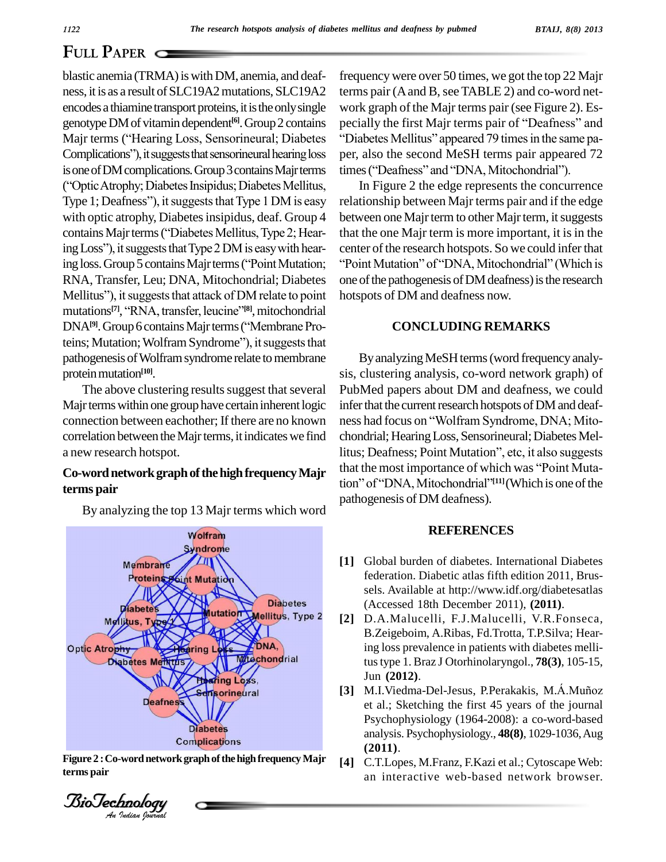# **FULL PAPER**

blastic anemia (TRMA) is with DM, anemia, and deafness, it is as a result of SLC19A2 mutations, SLC19A2 encodes a thiamine transport proteins, it is the only single work<br>genotype DM of vitamin dependent<sup>[6]</sup>. Group 2 contains pecial<br>Majr terms ("Hearing Loss, Sensorineural; Diabetes "Diab genotype DM of vitamin dependent<sup>[6]</sup>. Group 2 contains pecial genotype DM of vitamin dependent<sup>[6]</sup>. Group 2 contains pecially per performancy ("Hearing Loss, Sensorineural; Diabetes "Dia Complications"), it suggests that sensorineural hearing loss per, is one of DM complications. Group 3 contains Majr terms times ("Coptic Atrophy; Diabetes Insipidus; Diabetes Mellitus, In F<br>Type 1; Deafness"), it suggests that Type 1 DM is easy relation Complications"), it suggests that sensorineural hearing loss performed is one of DM complications. Group 3 contains Majr terms tire ("Optic Atrophy; Diabetes Insipidus; Diabetes Mellitus, with optic atrophy, Diabetes insipidus, deaf. Group 4 Type 1; Deafness"), it suggests that Type 1 DM is easy<br>with optic atrophy, Diabetes insipidus, deaf. Group 4<br>contains Majr terms ("Diabetes Mellitus, Type 2; Hearwith optic atrophy, Diabetes insipidus, deaf. Group 4 botains Majr terms ("Diabetes Mellitus, Type 2; Hear-<br>ing Loss"), it suggests that Type 2 DM is easy with hearcontains Majr terms ("Diabetes Mellitus, Type 2; Hearing Loss"), it suggests that Type 2 DM is easy with hearing loss. Group 5 contains Majr terms ("Point Mutation; "P RNA, Transfer, Leu; DNA, Mitochondrial; Diabetes one one<br>Mellitus"), it suggests that attack of DM relate to point hots<br>mutations<sup>[7]</sup>, "RNA, transfer, leucine<sup>"[8]</sup>, mitochondrial mutations<sup>[7]</sup>, "RNA, transfer, leucine"<sup>[8]</sup>, mitochondrial Mellitus"), it suggests that attack of DM relate to point<br>mutations<sup>[7]</sup>, "RNA, transfer, leucine"<sup>[8]</sup>, mitochondrial<br>DNA<sup>[9]</sup>. Group 6 contains Majr terms ("Membrane Promutations<sup>[7]</sup>, ''RNA, transfer, leucine''<sup>[8]</sup>, mitochondrial<br>DNA<sup>[9]</sup>. Group 6 contains Majr terms (''Membrane Proteins; Mutation; Wolfram Syndrome''), it suggests that pathogenesis of Wolfram syndrome relate to membrane protein mutation<sup>[10]</sup>.

The above clustering results suggest that several Majr terms within one group have certain inherent logic connection between eachother; If there are no known correlation between the Majr terms, it indicates we find a new research hotspot.

# **terms pair**

By analyzing the top 13 Majr terms which word



**Indiana** *I* **Complications**<br> **Indian Property Angle Control Control of the high frequency Majr**<br> *Indian Soutual*<br> *An Indian Soutual* **terms pair**



frequencywere over 50 times, we got the top 22 Majr terms pair (A and B, see TABLE 2) and co-word network graph of the Majr terms pair (see Figure 2). Esterms pair (A and B, see TABLE 2) and co-word net-<br>work graph of the Majr terms pair (see Figure 2). Es-<br>pecially the first Majr terms pair of "Deafness" and work graph of the Majr terms pair (see Figure 2). Especially the first Majr terms pair of "Deafness" and<br>"Diabetes Mellitus" appeared 79 times in the same paper, also the second MeSH terms pair appeared 72 "Diabetes Mellitus" appeared 79 times in the same p:<br>per, also the second MeSH terms pair appeared 7<br>times ("Deafness" and "DNA, Mitochondrial").

ing loss. Group 5 contains Majr terms ("Point Mutation; "Point Mutation" of "DNA, Mitochondrial" (Which is RNA, Transfer, Leu; DNA, Mitochondrial; Diabetes one of the pathogenesis of DM deafness) is the research Mellitus") In Figure 2 the edge represents the concurrence relationship between Majr terms pair and if the edge between one Majrterm to other Majrterm, it suggests that the one Majr term is more important, it is in the<br>center of the research hotspots. So we could infer that<br>''Point Mutation'' of ''DNA, Mitochondrial'' (Which is one of the pathogenesis of DM deafness) is the research hotspots of DM and deafness now.

#### **CONCLUDING REMARKS**

**Co-word network graph of the high frequency Majr** that the most importance of which was "Point Muta-By analyzing MeSH terms (word frequency analysis, clustering analysis, co-word network graph) of PubMed papers about DM and deafness, we could<br>infer that the current research hotspots of DM and deaf-<br>ness had focus on "Wolfram Syndrome, DNA; Mitoinfer that the current research hotspots of DM and deafchondrial; Hearing Loss, Sensorineural; Diabetes Mellitus; Deafness; Point Mutation", etc, it also suggests<br>that the most importance of which was "Point Mutaness had focus on "Wolfram Syndrome, DNA; Mitolitus; Deafness; Point Mutation", etc, it also suggests tion" of "DNA, Mitochondrial"<sup>[11]</sup>(Which is one of the pathogenesis of DM deafness).

#### **REFERENCES**

- **[1]** Global burden of diabetes. International Diabetes federation. Diabetic atlas fifth edition 2011, Brus sels. Available at <http://www.idf.org/diabetesatlas> (Accessed 18th December 2011), **(2011)**.
- **[2]** D.A.Malucelli, F.J.Malucelli, V.R.Fonseca, B.Zeigeboim, A.Ribas, Fd.Trotta, T.P.Silva; Hearing loss prevalence in patients with diabetes mellitustype 1. Braz J Otorhinolaryngol., **78(3)**, 105-15, Jun **(2012)**.
- [3] M.I.Viedma-Del-Jesus, P.Perakakis, M.A.Muñoz et al.; Sketching the first 45 years of the journal Psychophysiology (1964-2008): a co-word-based analysis. Psychophysiology., **48(8)**, 1029-1036,Aug **(2011)**.
- **Figure 2 : Co-word network graph of the high frequency Majr** [4] C.T.Lopes, M.Franz, F.Kazi et al.; Cytoscape Web:<br>an interactive web-based network browser.